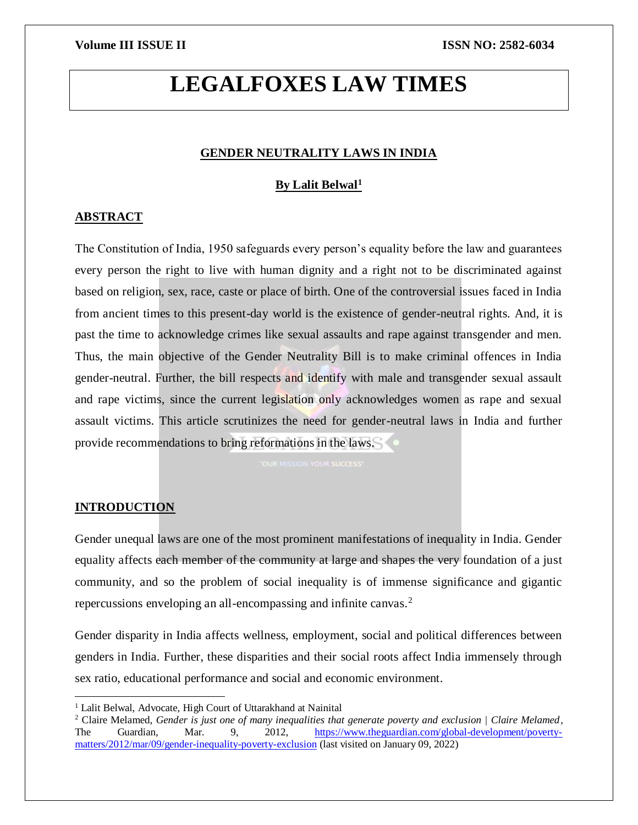# **LEGALFOXES LAW TIMES**

### **GENDER NEUTRALITY LAWS IN INDIA**

### **By Lalit Belwal<sup>1</sup>**

### **ABSTRACT**

The Constitution of India, 1950 safeguards every person's equality before the law and guarantees every person the right to live with human dignity and a right not to be discriminated against based on religion, sex, race, caste or place of birth. One of the controversial issues faced in India from ancient times to this present-day world is the existence of gender-neutral rights. And, it is past the time to acknowledge crimes like sexual assaults and rape against transgender and men. Thus, the main objective of the Gender Neutrality Bill is to make criminal offences in India gender-neutral. Further, the bill respects and identify with male and transgender sexual assault and rape victims, since the current legislation only acknowledges women as rape and sexual assault victims. This article scrutinizes the need for gender-neutral laws in India and further provide recommendations to bring reformations in the laws.

### **INTRODUCTION**

l

Gender unequal laws are one of the most prominent manifestations of inequality in India. Gender equality affects each member of the community at large and shapes the very foundation of a just community, and so the problem of social inequality is of immense significance and gigantic repercussions enveloping an all-encompassing and infinite canvas.<sup>2</sup>

Gender disparity in India affects wellness, employment, social and political differences between genders in India. Further, these disparities and their social roots affect India immensely through sex ratio, educational performance and social and economic environment.

<sup>&</sup>lt;sup>1</sup> Lalit Belwal, Advocate, High Court of Uttarakhand at Nainital

<sup>2</sup> Claire Melamed, *Gender is just one of many inequalities that generate poverty and exclusion | Claire Melamed*, The Guardian, Mar. 9, 2012, [https://www.theguardian.com/global-development/poverty](https://www.theguardian.com/global-development/poverty-matters/2012/mar/09/gender-inequality-poverty-exclusion)[matters/2012/mar/09/gender-inequality-poverty-exclusion](https://www.theguardian.com/global-development/poverty-matters/2012/mar/09/gender-inequality-poverty-exclusion) (last visited on January 09, 2022)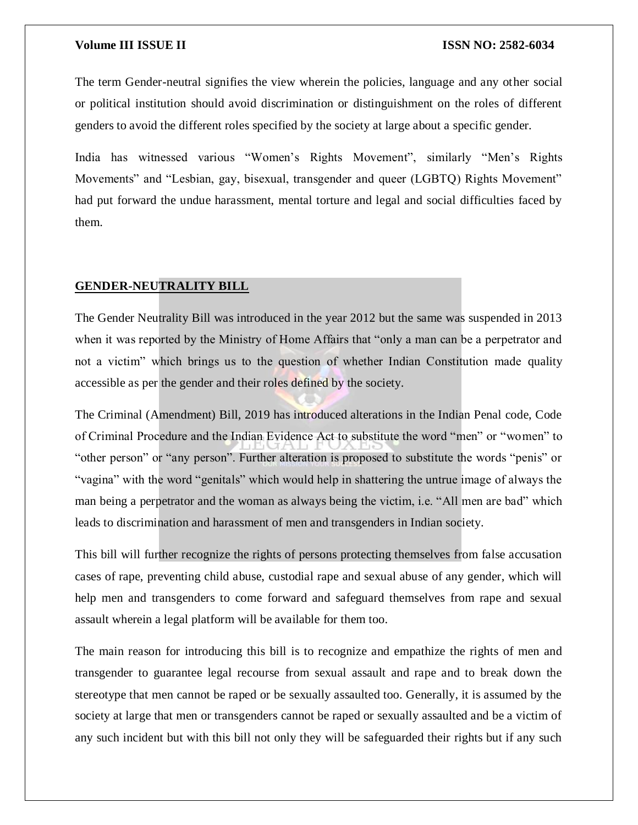The term Gender-neutral signifies the view wherein the policies, language and any other social or political institution should avoid discrimination or distinguishment on the roles of different genders to avoid the different roles specified by the society at large about a specific gender.

India has witnessed various "Women's Rights Movement", similarly "Men's Rights Movements" and "Lesbian, gay, bisexual, transgender and queer (LGBTQ) Rights Movement" had put forward the undue harassment, mental torture and legal and social difficulties faced by them.

### **GENDER-NEUTRALITY BILL**

The Gender Neutrality Bill was introduced in the year 2012 but the same was suspended in 2013 when it was reported by the Ministry of Home Affairs that "only a man can be a perpetrator and not a victim" which brings us to the question of whether Indian Constitution made quality accessible as per the gender and their roles defined by the society.

The Criminal (Amendment) Bill, 2019 has introduced alterations in the Indian Penal code, Code of Criminal Procedure and the Indian Evidence Act to substitute the word "men" or "women" to "other person" or "any person". Further alteration is proposed to substitute the words "penis" or "vagina" with the word "genitals" which would help in shattering the untrue image of always the man being a perpetrator and the woman as always being the victim, i.e. "All men are bad" which leads to discrimination and harassment of men and transgenders in Indian society.

This bill will further recognize the rights of persons protecting themselves from false accusation cases of rape, preventing child abuse, custodial rape and sexual abuse of any gender, which will help men and transgenders to come forward and safeguard themselves from rape and sexual assault wherein a legal platform will be available for them too.

The main reason for introducing this bill is to recognize and empathize the rights of men and transgender to guarantee legal recourse from sexual assault and rape and to break down the stereotype that men cannot be raped or be sexually assaulted too. Generally, it is assumed by the society at large that men or transgenders cannot be raped or sexually assaulted and be a victim of any such incident but with this bill not only they will be safeguarded their rights but if any such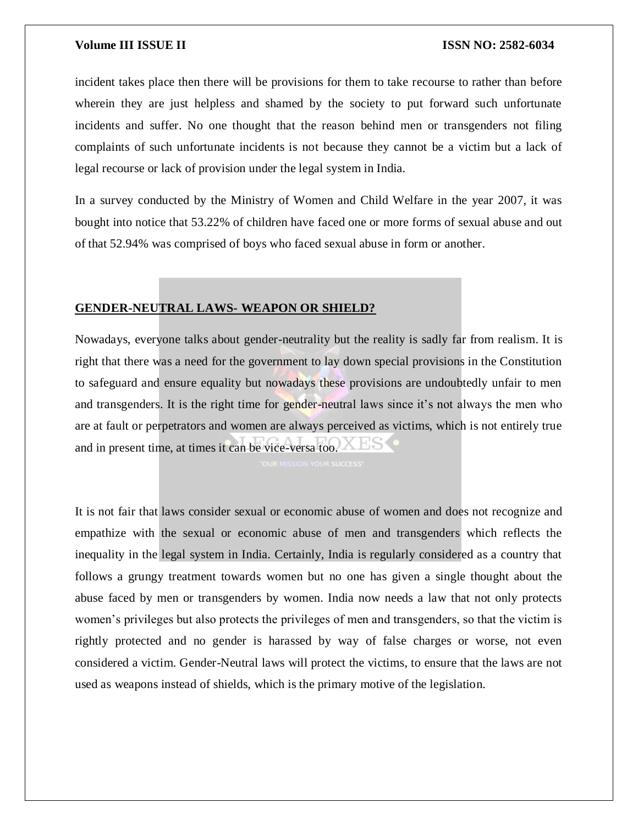incident takes place then there will be provisions for them to take recourse to rather than before wherein they are just helpless and shamed by the society to put forward such unfortunate incidents and suffer. No one thought that the reason behind men or transgenders not filing complaints of such unfortunate incidents is not because they cannot be a victim but a lack of legal recourse or lack of provision under the legal system in India.

In a survey conducted by the Ministry of Women and Child Welfare in the year 2007, it was bought into notice that 53.22% of children have faced one or more forms of sexual abuse and out of that 52.94% was comprised of boys who faced sexual abuse in form or another.

### **GENDER-NEUTRAL LAWS- WEAPON OR SHIELD?**

Nowadays, everyone talks about gender-neutrality but the reality is sadly far from realism. It is right that there was a need for the government to lay down special provisions in the Constitution to safeguard and ensure equality but nowadays these provisions are undoubtedly unfair to men and transgenders. It is the right time for gender-neutral laws since it's not always the men who are at fault or perpetrators and women are always perceived as victims, which is not entirely true and in present time, at times it can be vice-versa too.

It is not fair that laws consider sexual or economic abuse of women and does not recognize and empathize with the sexual or economic abuse of men and transgenders which reflects the inequality in the legal system in India. Certainly, India is regularly considered as a country that follows a grungy treatment towards women but no one has given a single thought about the abuse faced by men or transgenders by women. India now needs a law that not only protects women's privileges but also protects the privileges of men and transgenders, so that the victim is rightly protected and no gender is harassed by way of false charges or worse, not even considered a victim. Gender-Neutral laws will protect the victims, to ensure that the laws are not used as weapons instead of shields, which is the primary motive of the legislation.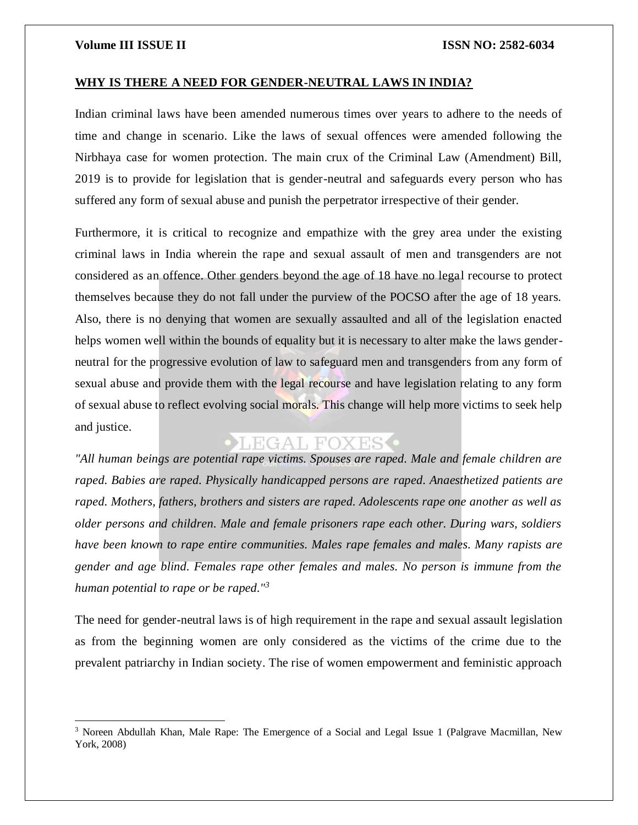$\overline{a}$ 

### **WHY IS THERE A NEED FOR GENDER-NEUTRAL LAWS IN INDIA?**

Indian criminal laws have been amended numerous times over years to adhere to the needs of time and change in scenario. Like the laws of sexual offences were amended following the Nirbhaya case for women protection. The main crux of the Criminal Law (Amendment) Bill, 2019 is to provide for legislation that is gender-neutral and safeguards every person who has suffered any form of sexual abuse and punish the perpetrator irrespective of their gender.

Furthermore, it is critical to recognize and empathize with the grey area under the existing criminal laws in India wherein the rape and sexual assault of men and transgenders are not considered as an offence. Other genders beyond the age of 18 have no legal recourse to protect themselves because they do not fall under the purview of the POCSO after the age of 18 years. Also, there is no denying that women are sexually assaulted and all of the legislation enacted helps women well within the bounds of equality but it is necessary to alter make the laws genderneutral for the progressive evolution of law to safeguard men and transgenders from any form of sexual abuse and provide them with the legal recourse and have legislation relating to any form of sexual abuse to reflect evolving social morals. This change will help more victims to seek help and justice.

## **OLEGAL FOXES**

*"All human beings are potential rape victims. Spouses are raped. Male and female children are raped. Babies are raped. Physically handicapped persons are raped. Anaesthetized patients are raped. Mothers, fathers, brothers and sisters are raped. Adolescents rape one another as well as older persons and children. Male and female prisoners rape each other. During wars, soldiers have been known to rape entire communities. Males rape females and males. Many rapists are gender and age blind. Females rape other females and males. No person is immune from the human potential to rape or be raped."<sup>3</sup>*

The need for gender-neutral laws is of high requirement in the rape and sexual assault legislation as from the beginning women are only considered as the victims of the crime due to the prevalent patriarchy in Indian society. The rise of women empowerment and feministic approach

<sup>3</sup> Noreen Abdullah Khan, Male Rape: The Emergence of a Social and Legal Issue 1 (Palgrave Macmillan, New York, 2008)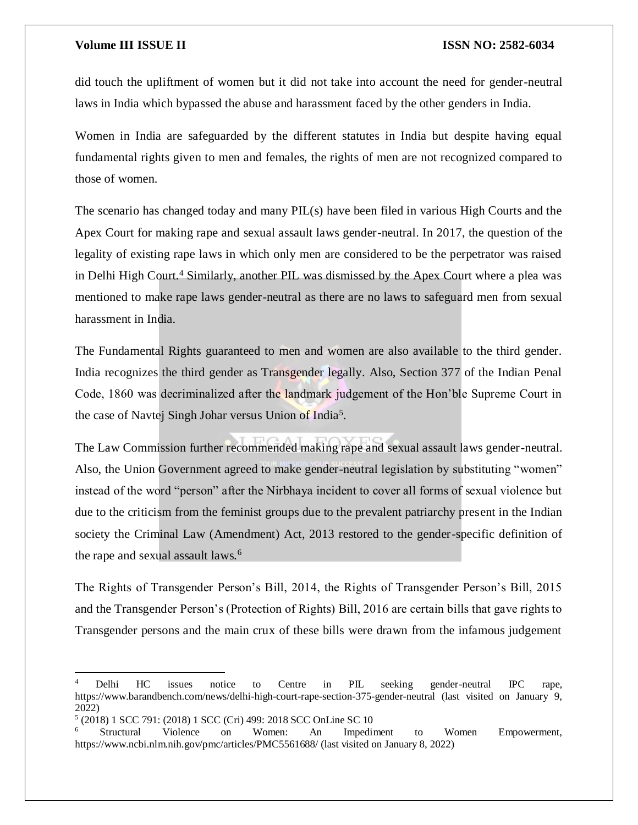did touch the upliftment of women but it did not take into account the need for gender-neutral laws in India which bypassed the abuse and harassment faced by the other genders in India.

Women in India are safeguarded by the different statutes in India but despite having equal fundamental rights given to men and females, the rights of men are not recognized compared to those of women.

The scenario has changed today and many PIL(s) have been filed in various High Courts and the Apex Court for making rape and sexual assault laws gender-neutral. In 2017, the question of the legality of existing rape laws in which only men are considered to be the perpetrator was raised in Delhi High Court.<sup>4</sup> Similarly, another PIL was dismissed by the Apex Court where a plea was mentioned to make rape laws gender-neutral as there are no laws to safeguard men from sexual harassment in India.

The Fundamental Rights guaranteed to men and women are also available to the third gender. India recognizes the third gender as Transgender legally. Also, Section 377 of the Indian Penal Code, 1860 was decriminalized after the landmark judgement of the Hon'ble Supreme Court in the case of Navtej Singh Johar versus Union of India<sup>5</sup>.

The Law Commission further recommended making rape and sexual assault laws gender-neutral. Also, the Union Government agreed to make gender-neutral legislation by substituting "women" instead of the word "person" after the Nirbhaya incident to cover all forms of sexual violence but due to the criticism from the feminist groups due to the prevalent patriarchy present in the Indian society the Criminal Law (Amendment) Act, 2013 restored to the gender-specific definition of the rape and sexual assault laws.<sup>6</sup>

The Rights of Transgender Person's Bill, 2014, the Rights of Transgender Person's Bill, 2015 and the Transgender Person's (Protection of Rights) Bill, 2016 are certain bills that gave rights to Transgender persons and the main crux of these bills were drawn from the infamous judgement

 $\overline{a}$ 

Delhi HC issues notice to Centre in PIL seeking gender-neutral IPC rape, https://www.barandbench.com/news/delhi-high-court-rape-section-375-gender-neutral (last visited on January 9, 2022)

<sup>5</sup> (2018) 1 SCC 791: (2018) 1 SCC (Cri) 499: 2018 SCC OnLine SC 10

<sup>6</sup> Structural Violence on Women: An Impediment to Women Empowerment, https://www.ncbi.nlm.nih.gov/pmc/articles/PMC5561688/ (last visited on January 8, 2022)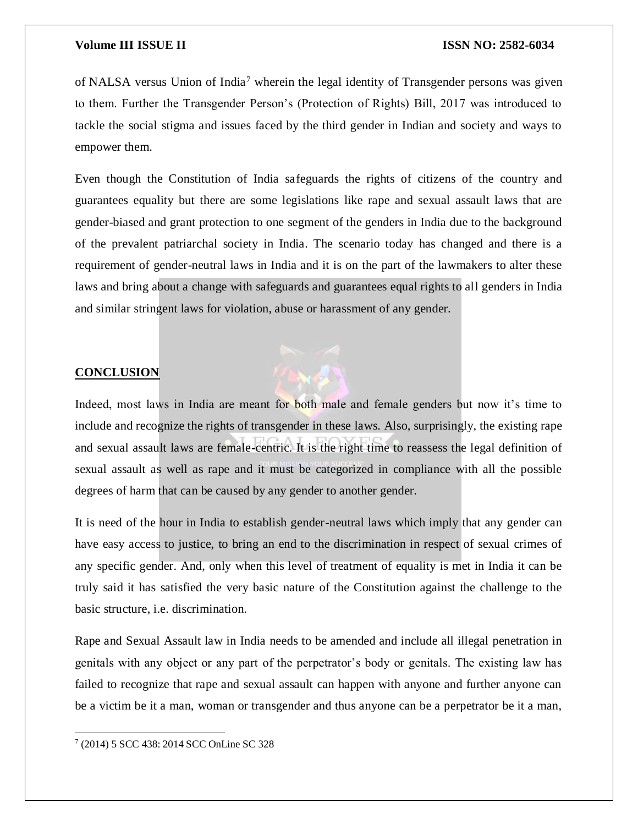of NALSA versus Union of India<sup>7</sup> wherein the legal identity of Transgender persons was given to them. Further the Transgender Person's (Protection of Rights) Bill, 2017 was introduced to tackle the social stigma and issues faced by the third gender in Indian and society and ways to empower them.

Even though the Constitution of India safeguards the rights of citizens of the country and guarantees equality but there are some legislations like rape and sexual assault laws that are gender-biased and grant protection to one segment of the genders in India due to the background of the prevalent patriarchal society in India. The scenario today has changed and there is a requirement of gender-neutral laws in India and it is on the part of the lawmakers to alter these laws and bring about a change with safeguards and guarantees equal rights to all genders in India and similar stringent laws for violation, abuse or harassment of any gender.

### **CONCLUSION**



Indeed, most laws in India are meant for both male and female genders but now it's time to include and recognize the rights of transgender in these laws. Also, surprisingly, the existing rape and sexual assault laws are female-centric. It is the right time to reassess the legal definition of sexual assault as well as rape and it must be categorized in compliance with all the possible degrees of harm that can be caused by any gender to another gender.

It is need of the hour in India to establish gender-neutral laws which imply that any gender can have easy access to justice, to bring an end to the discrimination in respect of sexual crimes of any specific gender. And, only when this level of treatment of equality is met in India it can be truly said it has satisfied the very basic nature of the Constitution against the challenge to the basic structure, i.e. discrimination.

Rape and Sexual Assault law in India needs to be amended and include all illegal penetration in genitals with any object or any part of the perpetrator's body or genitals. The existing law has failed to recognize that rape and sexual assault can happen with anyone and further anyone can be a victim be it a man, woman or transgender and thus anyone can be a perpetrator be it a man,

 $\overline{\phantom{a}}$ 7 (2014) 5 SCC 438: 2014 SCC OnLine SC 328